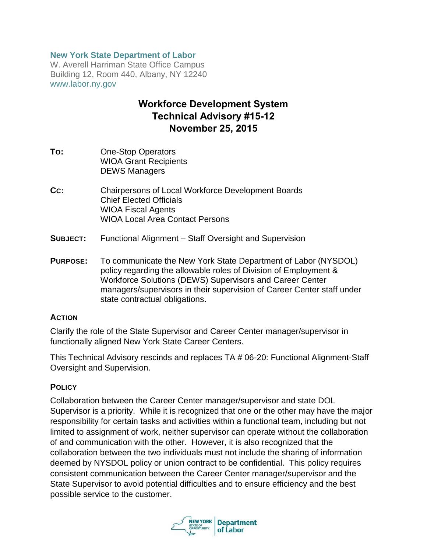#### **New York State Department of Labor**

W. Averell Harriman State Office Campus Building 12, Room 440, Albany, NY 12240 www.labor.ny.gov

# **Workforce Development System Technical Advisory #15-12 November 25, 2015**

- **TO:** One-Stop Operators WIOA Grant Recipients DEWS Managers
- **CC:** Chairpersons of Local Workforce Development Boards Chief Elected Officials WIOA Fiscal Agents WIOA Local Area Contact Persons
- **SUBJECT:** Functional Alignment Staff Oversight and Supervision
- **PURPOSE:** To communicate the New York State Department of Labor (NYSDOL) policy regarding the allowable roles of Division of Employment & Workforce Solutions (DEWS) Supervisors and Career Center managers/supervisors in their supervision of Career Center staff under state contractual obligations.

#### **ACTION**

Clarify the role of the State Supervisor and Career Center manager/supervisor in functionally aligned New York State Career Centers.

This Technical Advisory rescinds and replaces TA # 06-20: Functional Alignment-Staff Oversight and Supervision.

#### **POLICY**

Collaboration between the Career Center manager/supervisor and state DOL Supervisor is a priority. While it is recognized that one or the other may have the major responsibility for certain tasks and activities within a functional team, including but not limited to assignment of work, neither supervisor can operate without the collaboration of and communication with the other. However, it is also recognized that the collaboration between the two individuals must not include the sharing of information deemed by NYSDOL policy or union contract to be confidential. This policy requires consistent communication between the Career Center manager/supervisor and the State Supervisor to avoid potential difficulties and to ensure efficiency and the best possible service to the customer.

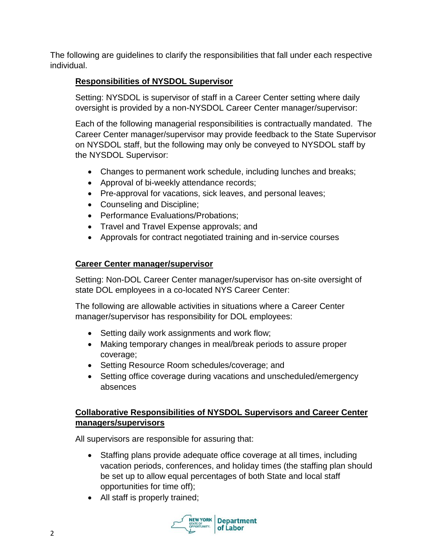The following are guidelines to clarify the responsibilities that fall under each respective individual.

## **Responsibilities of NYSDOL Supervisor**

Setting: NYSDOL is supervisor of staff in a Career Center setting where daily oversight is provided by a non-NYSDOL Career Center manager/supervisor:

Each of the following managerial responsibilities is contractually mandated. The Career Center manager/supervisor may provide feedback to the State Supervisor on NYSDOL staff, but the following may only be conveyed to NYSDOL staff by the NYSDOL Supervisor:

- Changes to permanent work schedule, including lunches and breaks;
- Approval of bi-weekly attendance records;
- Pre-approval for vacations, sick leaves, and personal leaves;
- Counseling and Discipline;
- Performance Evaluations/Probations;
- Travel and Travel Expense approvals; and
- Approvals for contract negotiated training and in-service courses

## **Career Center manager/supervisor**

Setting: Non-DOL Career Center manager/supervisor has on-site oversight of state DOL employees in a co-located NYS Career Center:

The following are allowable activities in situations where a Career Center manager/supervisor has responsibility for DOL employees:

- Setting daily work assignments and work flow;
- Making temporary changes in meal/break periods to assure proper coverage;
- Setting Resource Room schedules/coverage; and
- Setting office coverage during vacations and unscheduled/emergency absences

## **Collaborative Responsibilities of NYSDOL Supervisors and Career Center managers/supervisors**

All supervisors are responsible for assuring that:

- Staffing plans provide adequate office coverage at all times, including vacation periods, conferences, and holiday times (the staffing plan should be set up to allow equal percentages of both State and local staff opportunities for time off);
- All staff is properly trained;